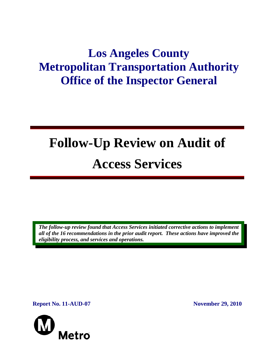# **Los Angeles County Metropolitan Transportation Authority Office of the Inspector General**

# **Follow-Up Review on Audit of Access Services**

*The follow-up review found that Access Services initiated corrective actions to implement all of the 16 recommendations in the prior audit report. These actions have improved the eligibility process, and services and operations.* 

**Report No. 11-AUD-07** November 29, 2010

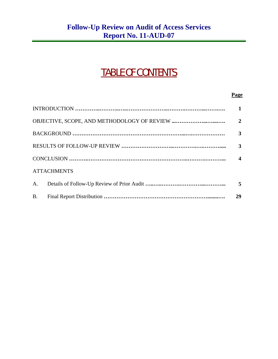## TABLE OF CONTENTS

#### **Page**

|                    |  | $\mathbf{1}$     |
|--------------------|--|------------------|
|                    |  | $\overline{2}$   |
|                    |  | 3                |
|                    |  | 3                |
|                    |  | $\boldsymbol{4}$ |
| <b>ATTACHMENTS</b> |  |                  |
| A.                 |  | 5                |
| <b>B</b> .         |  | 29               |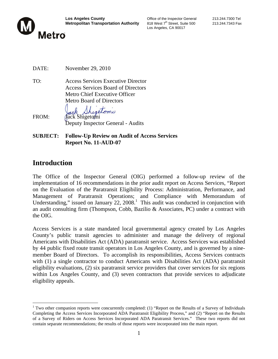

Los Angeles, CA 90017

- DATE: November 29, 2010
- TO: Access Services Executive Director Access Services Board of Directors Metro Chief Executive Officer Metro Board of Directors

Shigetomi FROM: Jack Shigetomi Deputy Inspector General - Audits

**SUBJECT: Follow-Up Review on Audit of Access Services Report No. 11-AUD-07** 

## **Introduction**

 $\overline{a}$ 

The Office of the Inspector General (OIG) performed a follow-up review of the implementation of 16 recommendations in the prior audit report on Access Services, "Report on the Evaluation of the Paratransit Eligibility Process: Administration, Performance, and Management of Paratransit Operations; and Compliance with Memorandum of Understanding," issued on January  $22$ ,  $2008$ .<sup>1</sup> This audit was conducted in conjunction with an audit consulting firm (Thompson, Cobb, Bazilio & Associates, PC) under a contract with the OIG.

Access Services is a state mandated local governmental agency created by Los Angeles County's public transit agencies to administer and manage the delivery of regional Americans with Disabilities Act (ADA) paratransit service. Access Services was established by 44 public fixed route transit operators in Los Angeles County, and is governed by a ninemember Board of Directors. To accomplish its responsibilities, Access Services contracts with (1) a single contractor to conduct Americans with Disabilities Act (ADA) paratransit eligibility evaluations, (2) six paratransit service providers that cover services for six regions within Los Angeles County, and (3) seven contractors that provide services to adjudicate eligibility appeals.

<sup>&</sup>lt;sup>1</sup> Two other companion reports were concurrently completed: (1) "Report on the Results of a Survey of Individuals Completing the Access Services Incorporated ADA Paratransit Eligibility Process," and (2) "Report on the Results of a Survey of Riders on Access Services Incorporated ADA Paratransit Services." These two reports did not contain separate recommendations; the results of those reports were incorporated into the main report.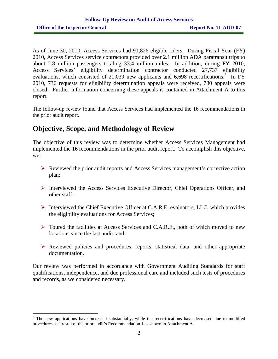As of June 30, 2010, Access Services had 91,826 eligible riders. During Fiscal Year (FY) 2010, Access Services service contractors provided over 2.1 million ADA paratransit trips to about 2.8 million passengers totaling 33.4 million miles. In addition, during FY 2010, Access Services' eligibility determination contractor conducted 27,737 eligibility evaluations, which consisted of 21,039 new applicants and 6,698 recertifications.<sup>2</sup> In FY 2010, 736 requests for eligibility determination appeals were received, 780 appeals were closed. Further information concerning these appeals is contained in Attachment A to this report.

The follow-up review found that Access Services had implemented the 16 recommendations in the prior audit report.

## **Objective, Scope, and Methodology of Review**

The objective of this review was to determine whether Access Services Management had implemented the 16 recommendations in the prior audit report. To accomplish this objective, we:

- ¾ Reviewed the prior audit reports and Access Services management's corrective action plan;
- ¾ Interviewed the Access Services Executive Director, Chief Operations Officer, and other staff;
- ¾ Interviewed the Chief Executive Officer at C.A.R.E. evaluators, LLC, which provides the eligibility evaluations for Access Services;
- ¾ Toured the facilities at Access Services and C.A.R.E., both of which moved to new locations since the last audit; and
- $\triangleright$  Reviewed policies and procedures, reports, statistical data, and other appropriate documentation.

Our review was performed in accordance with Government Auditing Standards for staff qualifications, independence, and due professional care and included such tests of procedures and records, as we considered necessary.

 $2$  The new applications have increased substantially, while the recertifications have decreased due to modified procedures as a result of the prior audit's Recommendation 1 as shown in Attachment A.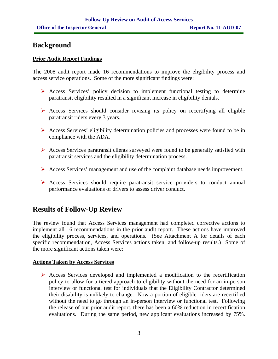### **Background**

#### **Prior Audit Report Findings**

The 2008 audit report made 16 recommendations to improve the eligibility process and access service operations. Some of the more significant findings were:

- $\triangleright$  Access Services' policy decision to implement functional testing to determine paratransit eligibility resulted in a significant increase in eligibility denials.
- $\triangleright$  Access Services should consider revising its policy on recertifying all eligible paratransit riders every 3 years.
- $\triangleright$  Access Services' eligibility determination policies and processes were found to be in compliance with the ADA.
- $\triangleright$  Access Services paratransit clients surveyed were found to be generally satisfied with paratransit services and the eligibility determination process.
- ¾ Access Services' management and use of the complaint database needs improvement.
- ¾ Access Services should require paratransit service providers to conduct annual performance evaluations of drivers to assess driver conduct.

## **Results of Follow-Up Review**

The review found that Access Services management had completed corrective actions to implement all 16 recommendations in the prior audit report. These actions have improved the eligibility process, services, and operations. (See Attachment A for details of each specific recommendation, Access Services actions taken, and follow-up results.) Some of the more significant actions taken were:

#### **Actions Taken by Access Services**

¾ Access Services developed and implemented a modification to the recertification policy to allow for a tiered approach to eligibility without the need for an in-person interview or functional test for individuals that the Eligibility Contractor determined their disability is unlikely to change. Now a portion of eligible riders are recertified without the need to go through an in-person interview or functional test. Following the release of our prior audit report, there has been a 60% reduction in recertification evaluations. During the same period, new applicant evaluations increased by 75%.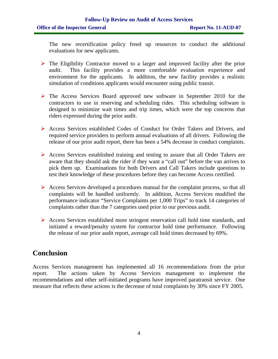The new recertification policy freed up resources to conduct the additional evaluations for new applicants.

- $\triangleright$  The Eligibility Contractor moved to a larger and improved facility after the prior audit. This facility provides a more comfortable evaluation experience and environment for the applicants. In addition, the new facility provides a realistic simulation of conditions applicants would encounter using public transit.
- $\triangleright$  The Access Services Board approved new software in September 2010 for the contractors to use in reserving and scheduling rides. This scheduling software is designed to minimize wait times and trip times, which were the top concerns that riders expressed during the prior audit.
- ¾ Access Services established Codes of Conduct for Order Takers and Drivers, and required service providers to perform annual evaluations of all drivers. Following the release of our prior audit report, there has been a 54% decrease in conduct complaints.
- ¾ Access Services established training and testing to assure that all Order Takers are aware that they should ask the rider if they want a "call out" before the van arrives to pick them up. Examinations for both Drivers and Call Takers include questions to test their knowledge of these procedures before they can become Access certified.
- $\triangleright$  Access Services developed a procedures manual for the complaint process, so that all complaints will be handled uniformly. In addition, Access Services modified the performance indicator "Service Complaints per 1,000 Trips" to track 14 categories of complaints rather than the 7 categories used prior to our previous audit.
- $\triangleright$  Access Services established more stringent reservation call hold time standards, and initiated a reward/penalty system for contractor hold time performance. Following the release of our prior audit report, average call hold times decreased by 69%.

## **Conclusion**

Access Services management has implemented all 16 recommendations from the prior report. The actions taken by Access Services management to implement the recommendations and other self-initiated programs have improved paratransit service. One measure that reflects these actions is the decrease of total complaints by 30% since FY 2005.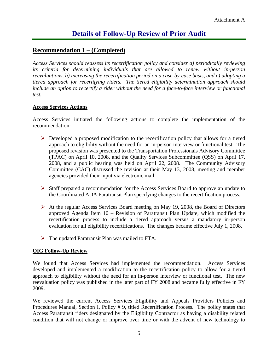#### **Recommendation 1 – (Completed)**

*Access Services should reassess its recertification policy and consider a) periodically reviewing its criteria for determining individuals that are allowed to renew without in-person reevaluations, b) increasing the recertification period on a case-by-case basis, and c) adopting a tiered approach for recertifying riders. The tiered eligibility determination approach should include an option to recertify a rider without the need for a face-to-face interview or functional test.* 

#### **Access Services Actions**

Access Services initiated the following actions to complete the implementation of the recommendation:

- $\triangleright$  Developed a proposed modification to the recertification policy that allows for a tiered approach to eligibility without the need for an in-person interview or functional test. The proposed revision was presented to the Transportation Professionals Advisory Committee (TPAC) on April 10, 2008, and the Quality Services Subcommittee (QSS) on April 17, 2008, and a public hearing was held on April 22, 2008. The Community Advisory Committee (CAC) discussed the revision at their May 13, 2008, meeting and member agencies provided their input via electronic mail.
- ¾ Staff prepared a recommendation for the Access Services Board to approve an update to the Coordinated ADA Paratransit Plan specifying changes to the recertification process.
- $\triangleright$  At the regular Access Services Board meeting on May 19, 2008, the Board of Directors approved Agenda Item 10 – Revision of Paratransit Plan Update, which modified the recertification process to include a tiered approach versus a mandatory in-person evaluation for all eligibility recertifications. The changes became effective July 1, 2008.
- $\triangleright$  The updated Paratransit Plan was mailed to FTA.

#### **OIG Follow-Up Review**

We found that Access Services had implemented the recommendation. Access Services developed and implemented a modification to the recertification policy to allow for a tiered approach to eligibility without the need for an in-person interview or functional test. The new reevaluation policy was published in the later part of FY 2008 and became fully effective in FY 2009.

We reviewed the current Access Services Eligibility and Appeals Providers Policies and Procedures Manual, Section I, Policy # 9, titled Recertification Process. The policy states that Access Paratransit riders designated by the Eligibility Contractor as having a disability related condition that will not change or improve over time or with the advent of new technology to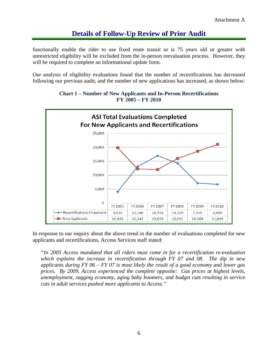functionally enable the rider to use fixed route transit or is 75 years old or greater with unrestricted eligibility will be excluded from the in-person reevaluation process. However, they will be required to complete an informational update form.

Our analysis of eligibility evaluations found that the number of recertifications has decreased following our previous audit, and the number of new applications has increased, as shown below:





In response to our inquiry about the above trend in the number of evaluations completed for new applicants and recertifications, Access Services staff stated:

*"In 2005 Access mandated that all riders must come in for a recertification re-evaluation which explains the increase in recertification through FY 07 and 08. The dip in new applicants during FY 06 – FY 07 is most likely the result of a good economy and lower gas prices. By 2009, Access experienced the complete opposite: Gas prices at highest levels, unemployment, sagging economy, aging baby boomers, and budget cuts resulting in service cuts in adult services pushed more applicants to Access."*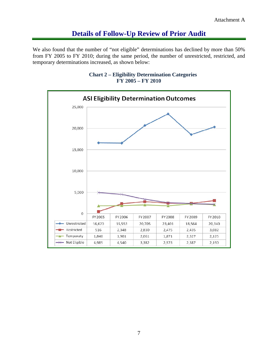We also found that the number of "not eligible" determinations has declined by more than 50% from FY 2005 to FY 2010; during the same period, the number of unrestricted, restricted, and temporary determinations increased, as shown below:



#### **Chart 2 – Eligibility Determination Categories FY 2005 – FY 2010**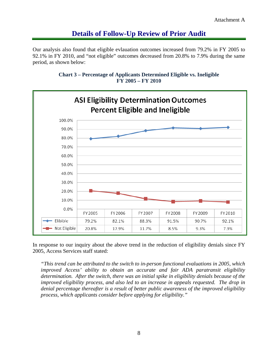Our analysis also found that eligible evlauation outcomes increased from 79.2% in FY 2005 to 92.1% in FY 2010, and "not eligible" outcomes decreased from 20.8% to 7.9% during the same period, as shown below:





In response to our inquiry about the above trend in the reduction of eligibility denials since FY 2005, Access Services staff stated:

*"This trend can be attributed to the switch to in-person functional evaluations in 2005, which improved Access' ability to obtain an accurate and fair ADA paratransit eligibility determination. After the switch, there was an initial spike in eligibility denials because of the improved eligibility process, and also led to an increase in appeals requested. The drop in denial percentage thereafter is a result of better public awareness of the improved eligibility process, which applicants consider before applying for eligibility."*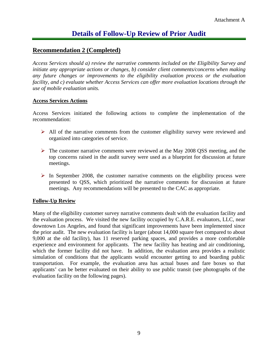#### **Recommendation 2 (Completed)**

*Access Services should a) review the narrative comments included on the Eligibility Survey and initiate any appropriate actions or changes, b) consider client comments/concerns when making any future changes or improvements to the eligibility evaluation process or the evaluation facility, and c) evaluate whether Access Services can offer more evaluation locations through the use of mobile evaluation units.* 

#### **Access Services Actions**

Access Services initiated the following actions to complete the implementation of the recommendation:

- $\triangleright$  All of the narrative comments from the customer eligibility survey were reviewed and organized into categories of service.
- $\triangleright$  The customer narrative comments were reviewed at the May 2008 QSS meeting, and the top concerns raised in the audit survey were used as a blueprint for discussion at future meetings.
- $\triangleright$  In September 2008, the customer narrative comments on the eligibility process were presented to QSS, which prioritized the narrative comments for discussion at future meetings. Any recommendations will be presented to the CAC as appropriate.

#### **Follow-Up Review**

Many of the eligibility customer survey narrative comments dealt with the evaluation facility and the evaluation process. We visited the new facility occupied by C.A.R.E. evaluators, LLC, near downtown Los Angeles, and found that significant improvements have been implemented since the prior audit. The new evaluation facility is larger (about 14,000 square feet compared to about 9,000 at the old facility), has 11 reserved parking spaces, and provides a more comfortable experience and environment for applicants. The new facility has heating and air conditioning, which the former facility did not have. In addition, the evaluation area provides a realistic simulation of conditions that the applicants would encounter getting to and boarding public transportation. For example, the evaluation area has actual buses and fare boxes so that applicants' can be better evaluated on their ability to use public transit (see photographs of the evaluation facility on the following pages).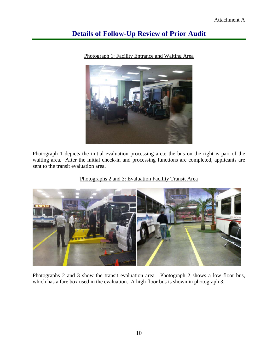

Photograph 1: Facility Entrance and Waiting Area

Photograph 1 depicts the initial evaluation processing area; the bus on the right is part of the waiting area. After the initial check-in and processing functions are completed, applicants are sent to the transit evaluation area.

#### Photographs 2 and 3: Evaluation Facility Transit Area



Photographs 2 and 3 show the transit evaluation area. Photograph 2 shows a low floor bus, which has a fare box used in the evaluation. A high floor bus is shown in photograph 3.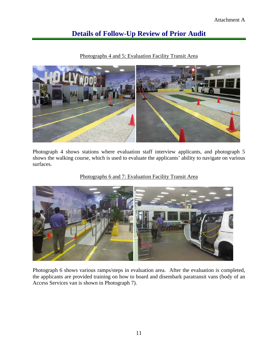Photographs 4 and 5: Evaluation Facility Transit Area



Photograph 4 shows stations where evaluation staff interview applicants, and photograph 5 shows the walking course, which is used to evaluate the applicants' ability to navigate on various surfaces.

Photographs 6 and 7: Evaluation Facility Transit Area



Photograph 6 shows various ramps/steps in evaluation area. After the evaluation is completed, the applicants are provided training on how to board and disembark paratransit vans (body of an Access Services van is shown in Photograph 7).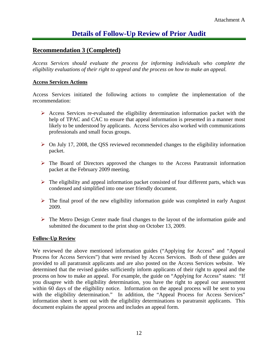#### **Recommendation 3 (Completed)**

*Access Services should evaluate the process for informing individuals who complete the eligibility evaluations of their right to appeal and the process on how to make an appeal.* 

#### **Access Services Actions**

Access Services initiated the following actions to complete the implementation of the recommendation:

- $\triangleright$  Access Services re-evaluated the eligibility determination information packet with the help of TPAC and CAC to ensure that appeal information is presented in a manner most likely to be understood by applicants. Access Services also worked with communications professionals and small focus groups.
- $\triangleright$  On July 17, 2008, the QSS reviewed recommended changes to the eligibility information packet.
- $\triangleright$  The Board of Directors approved the changes to the Access Paratransit information packet at the February 2009 meeting.
- $\triangleright$  The eligibility and appeal information packet consisted of four different parts, which was condensed and simplified into one user friendly document.
- $\triangleright$  The final proof of the new eligibility information guide was completed in early August 2009.
- $\triangleright$  The Metro Design Center made final changes to the layout of the information guide and submitted the document to the print shop on October 13, 2009.

#### **Follow-Up Review**

We reviewed the above mentioned information guides ("Applying for Access" and "Appeal Process for Access Services") that were revised by Access Services. Both of these guides are provided to all paratransit applicants and are also posted on the Access Services website. We determined that the revised guides sufficiently inform applicants of their right to appeal and the process on how to make an appeal. For example, the guide on "Applying for Access" states: "If you disagree with the eligibility determination, you have the right to appeal our assessment within 60 days of the eligibility notice. Information on the appeal process will be sent to you with the eligibility determination." In addition, the "Appeal Process for Access Services" information sheet is sent out with the eligibility determinations to paratransit applicants. This document explains the appeal process and includes an appeal form.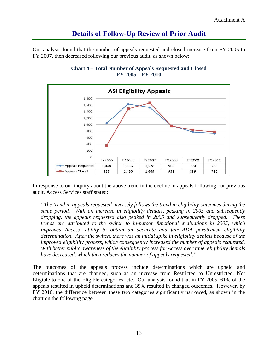Our analysis found that the number of appeals requested and closed increase from FY 2005 to FY 2007, then decreased following our previous audit, as shown below:



#### **Chart 4 – Total Number of Appeals Requested and Closed FY 2005 – FY 2010**

In response to our inquiry about the above trend in the decline in appeals following our previous audit, Access Services staff stated:

*"The trend in appeals requested inversely follows the trend in eligibility outcomes during the same period. With an increase in eligibility denials, peaking in 2005 and subsequently dropping, the appeals requested also peaked in 2005 and subsequently dropped. These trends are attributed to the switch to in-person functional evaluations in 2005, which improved Access' ability to obtain an accurate and fair ADA paratransit eligibility determination. After the switch, there was an initial spike in eligibility denials because of the improved eligibility process, which consequently increased the number of appeals requested. With better public awareness of the eligibility process for Access over time, eligibility denials have decreased, which then reduces the number of appeals requested."* 

The outcomes of the appeals process include determinations which are upheld and determinations that are changed, such as an increase from Restricted to Unrestricted, Not Eligible to one of the Eligible categories, etc. Our analysis found that in FY 2005, 61% of the appeals resulted in upheld determinations and 39% resulted in changed outcomes. However, by FY 2010, the difference between these two categories significantly narrowed, as shown in the chart on the following page.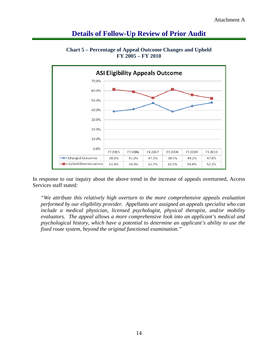

**Chart 5 – Percentage of Appeal Outcome Changes and Upheld FY 2005 – FY 2010** 

In response to our inquiry about the above trend in the increase of appeals overturned, Access Services staff stated:

*"We attribute this relatively high overturn to the more comprehensive appeals evaluation performed by our eligibility provider. Appellants are assigned an appeals specialist who can include a medical physician, licensed psychologist, physical therapist, and/or mobility evaluators. The appeal allows a more comprehensive look into an applicant's medical and psychological history, which have a potential to determine an applicant's ability to use the fixed route system, beyond the original functional examination."*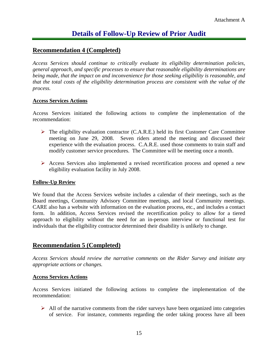#### **Recommendation 4 (Completed)**

*Access Services should continue to critically evaluate its eligibility determination policies, general approach, and specific processes to ensure that reasonable eligibility determinations are being made, that the impact on and inconvenience for those seeking eligibility is reasonable, and that the total costs of the eligibility determination process are consistent with the value of the process.* 

#### **Access Services Actions**

Access Services initiated the following actions to complete the implementation of the recommendation:

- $\triangleright$  The eligibility evaluation contractor (C.A.R.E.) held its first Customer Care Committee meeting on June 29, 2008. Seven riders attend the meeting and discussed their experience with the evaluation process. C.A.R.E. used those comments to train staff and modify customer service procedures. The Committee will be meeting once a month.
- $\triangleright$  Access Services also implemented a revised recertification process and opened a new eligibility evaluation facility in July 2008.

#### **Follow-Up Review**

We found that the Access Services website includes a calendar of their meetings, such as the Board meetings, Community Advisory Committee meetings, and local Community meetings. CARE also has a website with information on the evaluation process, etc., and includes a contact form. In addition, Access Services revised the recertification policy to allow for a tiered approach to eligibility without the need for an in-person interview or functional test for individuals that the eligibility contractor determined their disability is unlikely to change.

#### **Recommendation 5 (Completed)**

*Access Services should review the narrative comments on the Rider Survey and initiate any appropriate actions or changes.* 

#### **Access Services Actions**

Access Services initiated the following actions to complete the implementation of the recommendation:

 $\triangleright$  All of the narrative comments from the rider surveys have been organized into categories of service. For instance, comments regarding the order taking process have all been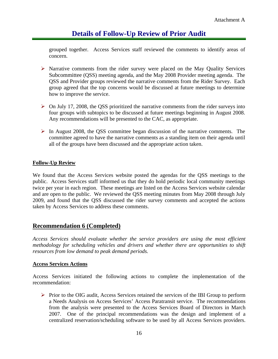grouped together. Access Services staff reviewed the comments to identify areas of concern.

- $\triangleright$  Narrative comments from the rider survey were placed on the May Quality Services Subcommittee (QSS) meeting agenda, and the May 2008 Provider meeting agenda. The QSS and Provider groups reviewed the narrative comments from the Rider Survey. Each group agreed that the top concerns would be discussed at future meetings to determine how to improve the service.
- $\triangleright$  On July 17, 2008, the QSS prioritized the narrative comments from the rider surveys into four groups with subtopics to be discussed at future meetings beginning in August 2008. Any recommendations will be presented to the CAC, as appropriate.
- $\triangleright$  In August 2008, the QSS committee began discussion of the narrative comments. The committee agreed to have the narrative comments as a standing item on their agenda until all of the groups have been discussed and the appropriate action taken.

#### **Follow-Up Review**

We found that the Access Services website posted the agendas for the QSS meetings to the public. Access Services staff informed us that they do hold periodic local community meetings twice per year in each region. These meetings are listed on the Access Services website calendar and are open to the public. We reviewed the QSS meeting minutes from May 2008 through July 2009, and found that the QSS discussed the rider survey comments and accepted the actions taken by Access Services to address these comments.

#### **Recommendation 6 (Completed)**

*Access Services should evaluate whether the service providers are using the most efficient methodology for scheduling vehicles and drivers and whether there are opportunities to shift resources from low demand to peak demand periods.* 

#### **Access Services Actions**

Access Services initiated the following actions to complete the implementation of the recommendation:

 $\triangleright$  Prior to the OIG audit, Access Services retained the services of the IBI Group to perform a Needs Analysis on Access Services' Access Paratransit service. The recommendations from the analysis were presented to the Access Services Board of Directors in March 2007. One of the principal recommendations was the design and implement of a centralized reservation/scheduling software to be used by all Access Services providers.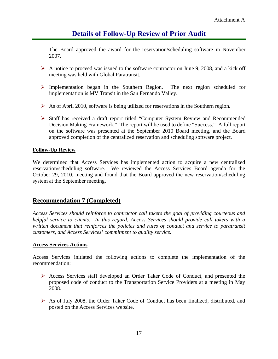The Board approved the award for the reservation/scheduling software in November 2007.

- $\triangleright$  A notice to proceed was issued to the software contractor on June 9, 2008, and a kick off meeting was held with Global Paratransit.
- ¾ Implementation began in the Southern Region. The next region scheduled for implementation is MV Transit in the San Fernando Valley.
- $\triangleright$  As of April 2010, software is being utilized for reservations in the Southern region.
- ¾ Staff has received a draft report titled "Computer System Review and Recommended Decision Making Framework." The report will be used to define "Success." A full report on the software was presented at the September 2010 Board meeting, and the Board approved completion of the centralized reservation and scheduling software project.

#### **Follow-Up Review**

We determined that Access Services has implemented action to acquire a new centralized reservation/scheduling software. We reviewed the Access Services Board agenda for the October 29, 2010, meeting and found that the Board approved the new reservation/scheduling system at the September meeting.

#### **Recommendation 7 (Completed)**

*Access Services should reinforce to contractor call takers the goal of providing courteous and helpful service to clients. In this regard, Access Services should provide call takers with a written document that reinforces the policies and rules of conduct and service to paratransit customers, and Access Services' commitment to quality service.* 

#### **Access Services Actions**

Access Services initiated the following actions to complete the implementation of the recommendation:

- ¾ Access Services staff developed an Order Taker Code of Conduct, and presented the proposed code of conduct to the Transportation Service Providers at a meeting in May 2008.
- ¾ As of July 2008, the Order Taker Code of Conduct has been finalized, distributed, and posted on the Access Services website.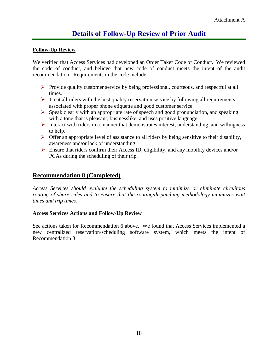#### **Follow-Up Review**

We verified that Access Services had developed an Order Taker Code of Conduct. We reviewed the code of conduct, and believe that new code of conduct meets the intent of the audit recommendation. Requirements in the code include:

- $\triangleright$  Provide quality customer service by being professional, courteous, and respectful at all times.
- $\triangleright$  Treat all riders with the best quality reservation service by following all requirements associated with proper phone etiquette and good customer service.
- $\triangleright$  Speak clearly with an appropriate rate of speech and good pronunciation, and speaking with a tone that is pleasant, businesslike, and uses positive language.
- $\triangleright$  Interact with riders in a manner that demonstrates interest, understanding, and willingness to help.
- $\triangleright$  Offer an appropriate level of assistance to all riders by being sensitive to their disability, awareness and/or lack of understanding.
- $\triangleright$  Ensure that riders confirm their Access ID, eligibility, and any mobility devices and/or PCAs during the scheduling of their trip.

#### **Recommendation 8 (Completed)**

*Access Services should evaluate the scheduling system to minimize or eliminate circuitous routing of share rides and to ensure that the routing/dispatching methodology minimizes wait times and trip times.* 

#### **Access Services Actions and Follow-Up Review**

See actions taken for Recommendation 6 above. We found that Access Services implemented a new centralized reservation/scheduling software system, which meets the intent of Recommendation 8.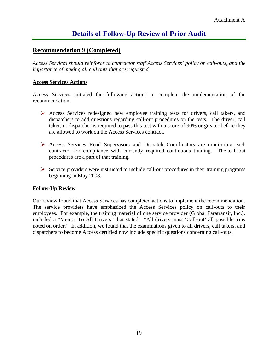#### **Recommendation 9 (Completed)**

*Access Services should reinforce to contractor staff Access Services' policy on call-outs, and the importance of making all call outs that are requested.* 

#### **Access Services Actions**

Access Services initiated the following actions to complete the implementation of the recommendation.

- ¾ Access Services redesigned new employee training tests for drivers, call takers, and dispatchers to add questions regarding call-out procedures on the tests. The driver, call taker, or dispatcher is required to pass this test with a score of 90% or greater before they are allowed to work on the Access Services contract.
- ¾ Access Services Road Supervisors and Dispatch Coordinators are monitoring each contractor for compliance with currently required continuous training. The call-out procedures are a part of that training.
- $\triangleright$  Service providers were instructed to include call-out procedures in their training programs beginning in May 2008.

#### **Follow-Up Review**

Our review found that Access Services has completed actions to implement the recommendation. The service providers have emphasized the Access Services policy on call-outs to their employees. For example, the training material of one service provider (Global Paratransit, Inc.), included a "Memo: To All Drivers" that stated: "All drivers must 'Call-out' all possible trips noted on order." In addition, we found that the examinations given to all drivers, call takers, and dispatchers to become Access certified now include specific questions concerning call-outs.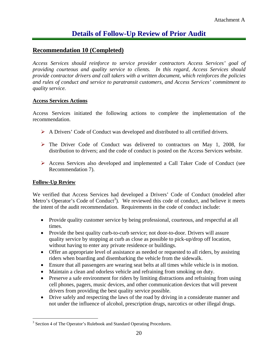#### **Recommendation 10 (Completed)**

*Access Services should reinforce to service provider contractors Access Services' goal of providing courteous and quality service to clients. In this regard, Access Services should provide contractor drivers and call takers with a written document, which reinforces the policies and rules of conduct and service to paratransit customers, and Access Services' commitment to quality service.* 

#### **Access Services Actions**

Access Services initiated the following actions to complete the implementation of the recommendation.

- ¾ A Drivers' Code of Conduct was developed and distributed to all certified drivers.
- $\triangleright$  The Driver Code of Conduct was delivered to contractors on May 1, 2008, for distribution to drivers; and the code of conduct is posted on the Access Services website.
- ¾ Access Services also developed and implemented a Call Taker Code of Conduct (see Recommendation 7).

#### **Follow-Up Review**

We verified that Access Services had developed a Drivers' Code of Conduct (modeled after Metro's Operator's Code of Conduct<sup>3</sup>). We reviewed this code of conduct, and believe it meets the intent of the audit recommendation. Requirements in the code of conduct include:

- Provide quality customer service by being professional, courteous, and respectful at all times.
- Provide the best quality curb-to-curb service; not door-to-door. Drivers will assure quality service by stopping at curb as close as possible to pick-up/drop off location, without having to enter any private residence or buildings.
- Offer an appropriate level of assistance as needed or requested to all riders, by assisting riders when boarding and disembarking the vehicle from the sidewalk.
- Ensure that all passengers are wearing seat belts at all times while vehicle is in motion.
- Maintain a clean and odorless vehicle and refraining from smoking on duty.
- Preserve a safe environment for riders by limiting distractions and refraining from using cell phones, pagers, music devices, and other communication devices that will prevent drivers from providing the best quality service possible.
- Drive safely and respecting the laws of the road by driving in a considerate manner and not under the influence of alcohol, prescription drugs, narcotics or other illegal drugs.

<sup>&</sup>lt;sup>3</sup> Section 4 of The Operator's Rulebook and Standard Operating Procedures.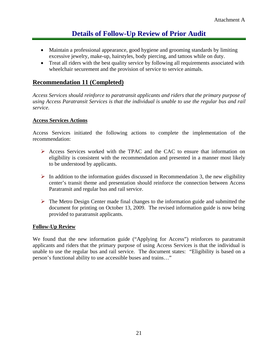- Maintain a professional appearance, good hygiene and grooming standards by limiting excessive jewelry, make-up, hairstyles, body piercing, and tattoos while on duty.
- Treat all riders with the best quality service by following all requirements associated with wheelchair securement and the provision of service to service animals.

#### **Recommendation 11 (Completed)**

*Access Services should reinforce to paratransit applicants and riders that the primary purpose of using Access Paratransit Services is that the individual is unable to use the regular bus and rail service.* 

#### **Access Services Actions**

Access Services initiated the following actions to complete the implementation of the recommendation:

- ¾ Access Services worked with the TPAC and the CAC to ensure that information on eligibility is consistent with the recommendation and presented in a manner most likely to be understood by applicants.
- $\triangleright$  In addition to the information guides discussed in Recommendation 3, the new eligibility center's transit theme and presentation should reinforce the connection between Access Paratransit and regular bus and rail service.
- $\triangleright$  The Metro Design Center made final changes to the information guide and submitted the document for printing on October 13, 2009. The revised information guide is now being provided to paratransit applicants.

#### **Follow-Up Review**

We found that the new information guide ("Applying for Access") reinforces to paratransit applicants and riders that the primary purpose of using Access Services is that the individual is unable to use the regular bus and rail service. The document states: "Eligibility is based on a person's functional ability to use accessible buses and trains…"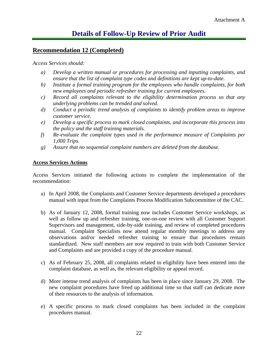#### **Recommendation 12 (Completed)**

*Access Services should:* 

- *a) Develop a written manual or procedures for processing and inputting complaints, and ensure that the list of complaint type codes and definitions are kept up-to-date.*
- *b) Institute a formal training program for the employees who handle complaints, for both new employees and periodic refresher training for current employees.*
- *c) Record all complaints relevant to the eligibility determination process so that any underlying problems can be trended and solved.*
- *d) Conduct a periodic trend analysis of complaints to identify problem areas to improve customer service.*
- *e) Develop a specific process to mark closed complaints, and incorporate this process into the policy and the staff training materials.*
- *f) Re-evaluate the complaint types used in the performance measure of Complaints per 1,000 Trips.*
- *g) Assure that no sequential complaint numbers are deleted from the database.*

#### **Access Services Actions**

Access Services initiated the following actions to complete the implementation of the recommendation:

- a) In April 2008, the Complaints and Customer Service departments developed a procedures manual with input from the Complaints Process Modification Subcommittee of the CAC.
- b) As of January 12, 2008, formal training now includes Customer Service workshops, as well as follow up and refresher training, one-on-one review with all Customer Support Supervisors and management, side-by-side training, and review of completed procedures manual. Complaint Specialists now attend regular monthly meetings to address any observations and/or needed refresher training to ensure that procedures remain standardized. New staff members are now required to train with both Customer Service and Complaints and are provided a copy of the procedure manual.
- c) As of February 25, 2008, all complaints related to eligibility have been entered into the complaint database, as well as, the relevant eligibility or appeal record.
- d) More intense trend analysis of complaints has been in place since January 29, 2008. The new complaint procedures have freed up additional time so that staff can dedicate more of their resources to the analysis of information.
- e) A specific process to mark closed complaints has been included in the complaint procedures manual.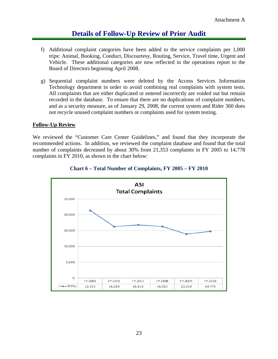- f) Additional complaint categories have been added to the service complaints per 1,000 trips: Animal, Booking, Conduct, Discourtesy, Routing, Service, Travel time, Urgent and Vehicle. These additional categories are now reflected in the operations report to the Board of Directors beginning April 2008.
- g) Sequential complaint numbers were deleted by the Access Services Information Technology department in order to avoid combining real complaints with system tests. All complaints that are either duplicated or entered incorrectly are voided out but remain recorded in the database. To ensure that there are no duplications of complaint numbers, and as a security measure, as of January 29, 2008, the current system and Rider 360 does not recycle unused complaint numbers or complaints used for system testing.

#### **Follow-Up Review**

We reviewed the "Customer Care Center Guidelines," and found that they incorporate the recommended actions. In addition, we reviewed the complaint database and found that the total number of complaints decreased by about 30% from 21,353 complaints in FY 2005 to 14,778 complaints in FY 2010, as shown in the chart below:



#### **Chart 6 – Total Number of Complaints, FY 2005 – FY 2010**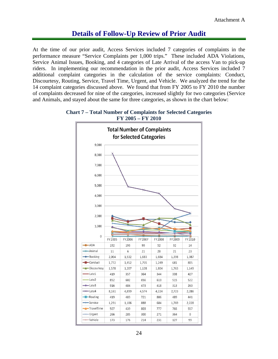At the time of our prior audit, Access Services included 7 categories of complaints in the performance measure "Service Complaints per 1,000 trips." These included ADA Violations, Service Animal Issues, Booking, and 4 categories of Late Arrival of the access Van to pick-up riders. In implementing our recommendation in the prior audit, Access Services included 7 additional complaint categories in the calculation of the service complaints: Conduct, Discourtesy, Routing, Service, Travel Time, Urgent, and Vehicle. We analyzed the trend for the 14 complaint categories discussed above. We found that from FY 2005 to FY 2010 the number of complaints decreased for nine of the categories, increased slightly for two categories (Service and Animals, and stayed about the same for three categories, as shown in the chart below:



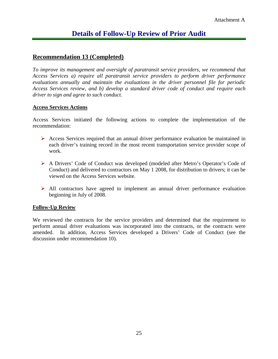#### **Recommendation 13 (Completed)**

*To improve its management and oversight of paratransit service providers, we recommend that Access Services a) require all paratransit service providers to perform driver performance evaluations annually and maintain the evaluations in the driver personnel file for periodic Access Services review, and b) develop a standard driver code of conduct and require each driver to sign and agree to such conduct.* 

#### **Access Services Actions**

Access Services initiated the following actions to complete the implementation of the recommendation:

- $\triangleright$  Access Services required that an annual driver performance evaluation be maintained in each driver's training record in the most recent transportation service provider scope of work.
- ¾ A Drivers' Code of Conduct was developed (modeled after Metro's Operator's Code of Conduct) and delivered to contractors on May 1 2008, for distribution to drivers; it can be viewed on the Access Services website.
- $\triangleright$  All contractors have agreed to implement an annual driver performance evaluation beginning in July of 2008.

#### **Follow-Up Review**

We reviewed the contracts for the service providers and determined that the requirement to perform annual driver evaluations was incorporated into the contracts, or the contracts were amended. In addition, Access Services developed a Drivers' Code of Conduct (see the discussion under recommendation 10).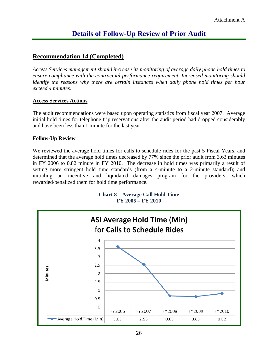#### **Recommendation 14 (Completed)**

*Access Services management should increase its monitoring of average daily phone hold times to ensure compliance with the contractual performance requirement. Increased monitoring should identify the reasons why there are certain instances when daily phone hold times per hour exceed 4 minutes.* 

#### **Access Services Actions**

The audit recommendations were based upon operating statistics from fiscal year 2007. Average initial hold times for telephone trip reservations after the audit period had dropped considerably and have been less than 1 minute for the last year.

#### **Follow-Up Review**

We reviewed the average hold times for calls to schedule rides for the past 5 Fiscal Years, and determined that the average hold times decreased by 77% since the prior audit from 3.63 minutes in FY 2006 to 0.82 minute in FY 2010. The decrease in hold times was primarily a result of setting more stringent hold time standards (from a 4-minute to a 2-minute standard); and initialing an incentive and liquidated damages program for the providers, which rewarded/penalized them for hold time performance.



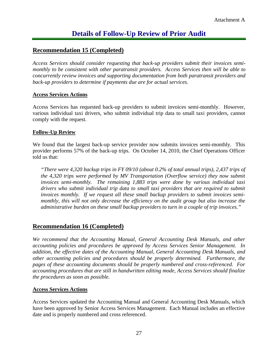#### **Recommendation 15 (Completed)**

*Access Services should consider requesting that back-up providers submit their invoices semimonthly to be consistent with other paratransit providers. Access Services then will be able to concurrently review invoices and supporting documentation from both paratransit providers and back-up providers to determine if payments due are for actual services.* 

#### **Access Services Actions**

Access Services has requested back-up providers to submit invoices semi-monthly. However, various individual taxi drivers, who submit individual trip data to small taxi providers, cannot comply with the request.

#### **Follow-Up Review**

We found that the largest back-up service provider now submits invoices semi-monthly. This provider performs 57% of the back-up trips. On October 14, 2010, the Chief Operations Officer told us that:

*"There were 4,320 backup trips in FY 09/10 (about 0.2% of total annual trips), 2,437 trips of the 4,320 trips were performed by MV Transportation (Overflow service) they now submit invoices semi-monthly. The remaining 1,883 trips were done by various individual taxi*  drivers who submit individual trip data to small taxi providers that are required to submit *invoices monthly. If we request all these small backup providers to submit invoices semimonthly, this will not only decrease the efficiency on the audit group but also increase the administrative burden on these small backup providers to turn in a couple of trip invoices."*

#### **Recommendation 16 (Completed)**

*We recommend that the Accounting Manual, General Accounting Desk Manuals, and other accounting policies and procedures be approved by Access Services Senior Management. In addition, the effective dates of the Accounting Manual, General Accounting Desk Manuals, and other accounting policies and procedures should be properly determined. Furthermore, the pages of these accounting documents should be properly numbered and cross-referenced. For accounting procedures that are still in handwritten editing mode, Access Services should finalize the procedures as soon as possible.* 

#### **Access Services Actions**

Access Services updated the Accounting Manual and General Accounting Desk Manuals, which have been approved by Senior Access Services Management. Each Manual includes an effective date and is properly numbered and cross referenced.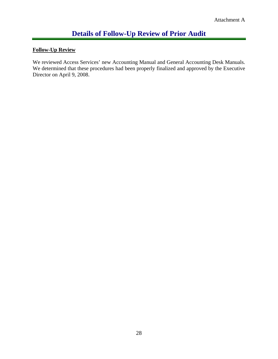## **Follow-Up Review**

We reviewed Access Services' new Accounting Manual and General Accounting Desk Manuals. We determined that these procedures had been properly finalized and approved by the Executive Director on April 9, 2008.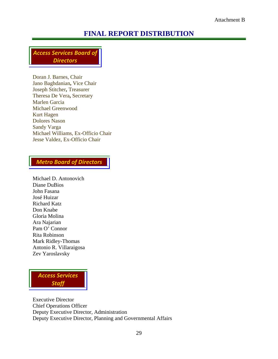## **FINAL REPORT DISTRIBUTION**

*Access Services Board of Directors*

Doran J. Barnes, Chair Jano Baghdanian**,** Vice Chair Joseph Stitcher**,** Treasurer Theresa De Vera**,** Secretary Marlen Garcia Michael Greenwood Kurt Hagen Dolores Nason Sandy Varga Michael Williams, Ex-Officio Chair Jesse Valdez, Ex-Officio Chair

#### *Metro Board of Directors*

Michael D. Antonovich Diane DuBios John Fasana José Huizar Richard Katz Don Knabe Gloria Molina Ara Najarian Pam O' Connor Rita Robinson Mark Ridley-Thomas Antonio R. Villaraigosa Zev Yaroslavsky

*Access Services Staff*

Executive Director Chief Operations Officer Deputy Executive Director, Administration Deputy Executive Director, Planning and Governmental Affairs